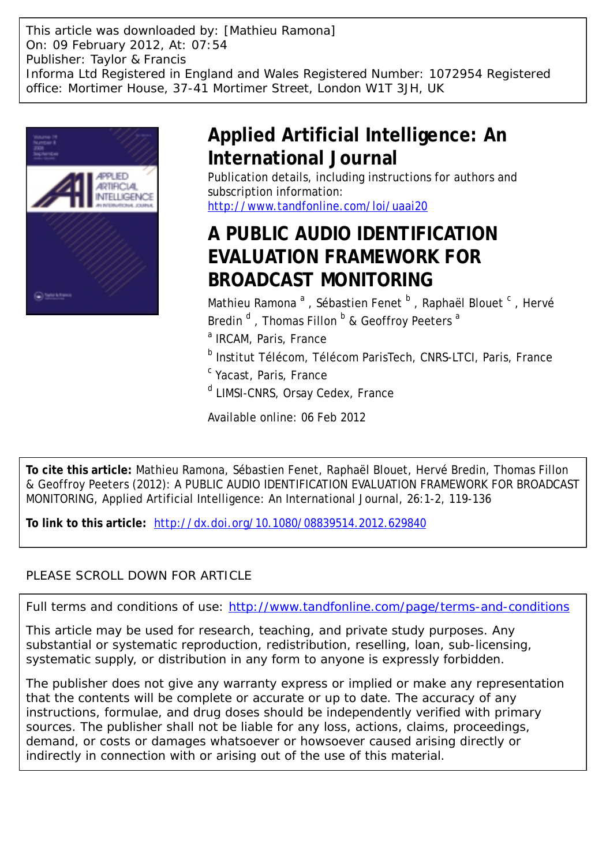This article was downloaded by: [Mathieu Ramona] On: 09 February 2012, At: 07:54 Publisher: Taylor & Francis Informa Ltd Registered in England and Wales Registered Number: 1072954 Registered office: Mortimer House, 37-41 Mortimer Street, London W1T 3JH, UK



# **Applied Artificial Intelligence: An International Journal**

Publication details, including instructions for authors and subscription information: <http://www.tandfonline.com/loi/uaai20>

# **A PUBLIC AUDIO IDENTIFICATION EVALUATION FRAMEWORK FOR BROADCAST MONITORING**

Mathieu Ramona <sup>a</sup> , Sébastien Fenet <sup>b</sup> , Raphaël Blouet <sup>c</sup> , Hervé Bredin <sup>d</sup>, Thomas Fillon <sup>b</sup> & Geoffroy Peeters <sup>a</sup> <sup>a</sup> IRCAM, Paris, France

<sup>b</sup> Institut Télécom, Télécom ParisTech, CNRS-LTCI, Paris, France

<sup>c</sup> Yacast, Paris, France

<sup>d</sup> LIMSI-CNRS, Orsay Cedex, France

Available online: 06 Feb 2012

**To cite this article:** Mathieu Ramona, Sébastien Fenet, Raphaël Blouet, Hervé Bredin, Thomas Fillon & Geoffroy Peeters (2012): A PUBLIC AUDIO IDENTIFICATION EVALUATION FRAMEWORK FOR BROADCAST MONITORING, Applied Artificial Intelligence: An International Journal, 26:1-2, 119-136

**To link to this article:** <http://dx.doi.org/10.1080/08839514.2012.629840>

# PLEASE SCROLL DOWN FOR ARTICLE

Full terms and conditions of use:<http://www.tandfonline.com/page/terms-and-conditions>

This article may be used for research, teaching, and private study purposes. Any substantial or systematic reproduction, redistribution, reselling, loan, sub-licensing, systematic supply, or distribution in any form to anyone is expressly forbidden.

The publisher does not give any warranty express or implied or make any representation that the contents will be complete or accurate or up to date. The accuracy of any instructions, formulae, and drug doses should be independently verified with primary sources. The publisher shall not be liable for any loss, actions, claims, proceedings, demand, or costs or damages whatsoever or howsoever caused arising directly or indirectly in connection with or arising out of the use of this material.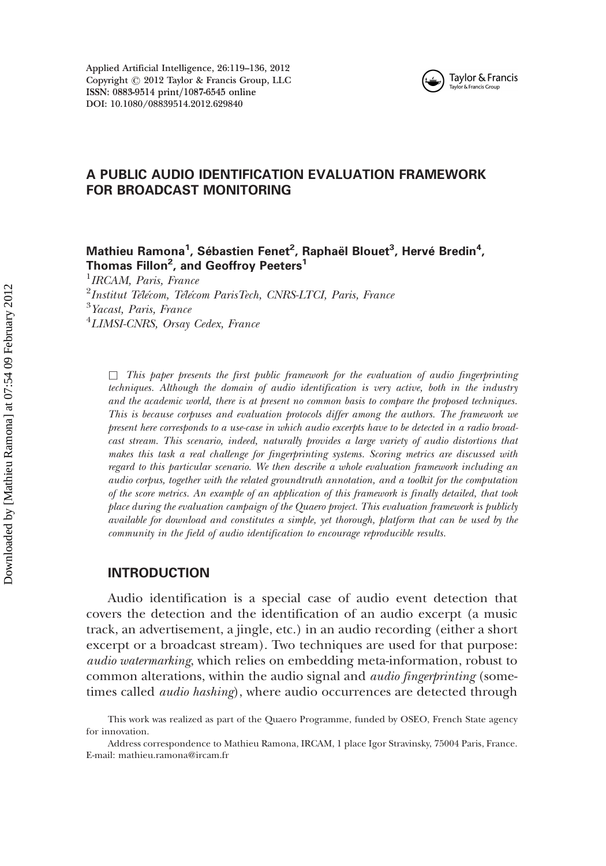Applied Artificial Intelligence, 26:119–136, 2012 Copyright  $@$  2012 Taylor & Francis Group, LLC ISSN: 0883-9514 print/1087-6545 online DOI: 10.1080/08839514.2012.629840



# A PUBLIC AUDIO IDENTIFICATION EVALUATION FRAMEWORK FOR BROADCAST MONITORING

# Mathieu Ramona<sup>1</sup>, Sébastien Fenet<sup>2</sup>, Raphaël Blouet<sup>3</sup>, Hervé Bredin<sup>4</sup>, Thomas Fillon $^{\mathsf{2}}$ , and Geoffroy Peeters $^{\mathsf{1}}$

<sup>1</sup> IRCAM, Paris, France  $^2$ Institut Télécom, Télécom ParisTech, CNRS-LTCI, Paris, France <sup>3</sup>Yacast, Paris, France <sup>4</sup>LIMSI-CNRS, Orsay Cedex, France

 $\Box$  This paper presents the first public framework for the evaluation of audio fingerprinting techniques. Although the domain of audio identification is very active, both in the industry and the academic world, there is at present no common basis to compare the proposed techniques. This is because corpuses and evaluation protocols differ among the authors. The framework we present here corresponds to a use-case in which audio excerpts have to be detected in a radio broadcast stream. This scenario, indeed, naturally provides a large variety of audio distortions that makes this task a real challenge for fingerprinting systems. Scoring metrics are discussed with regard to this particular scenario. We then describe a whole evaluation framework including an audio corpus, together with the related groundtruth annotation, and a toolkit for the computation of the score metrics. An example of an application of this framework is finally detailed, that took place during the evaluation campaign of the Quaero project. This evaluation framework is publicly available for download and constitutes a simple, yet thorough, platform that can be used by the community in the field of audio identification to encourage reproducible results.

#### INTRODUCTION

Audio identification is a special case of audio event detection that covers the detection and the identification of an audio excerpt (a music track, an advertisement, a jingle, etc.) in an audio recording (either a short excerpt or a broadcast stream). Two techniques are used for that purpose: audio watermarking, which relies on embedding meta-information, robust to common alterations, within the audio signal and *audio fingerprinting* (sometimes called *audio hashing*), where audio occurrences are detected through

This work was realized as part of the Quaero Programme, funded by OSEO, French State agency for innovation.

Address correspondence to Mathieu Ramona, IRCAM, 1 place Igor Stravinsky, 75004 Paris, France. E-mail: mathieu.ramona@ircam.fr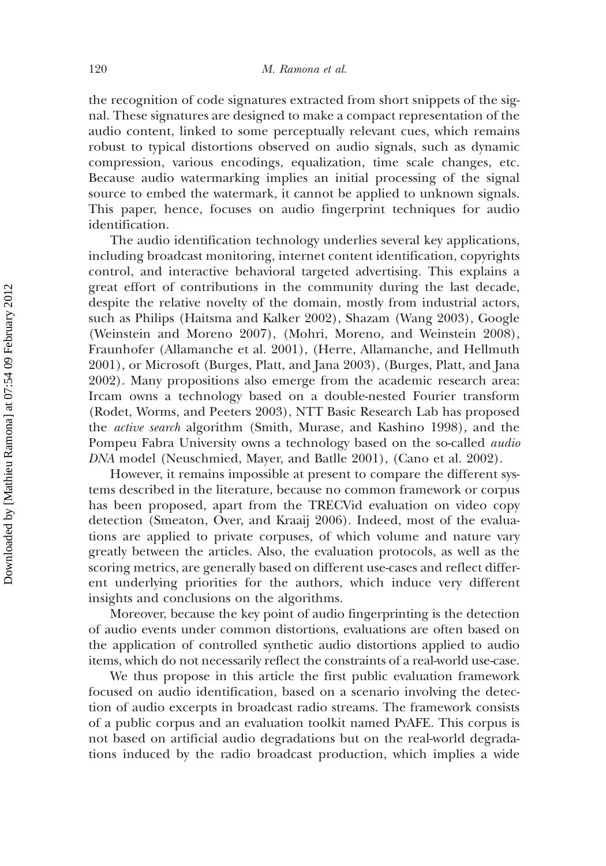the recognition of code signatures extracted from short snippets of the signal. These signatures are designed to make a compact representation of the audio content, linked to some perceptually relevant cues, which remains robust to typical distortions observed on audio signals, such as dynamic compression, various encodings, equalization, time scale changes, etc. Because audio watermarking implies an initial processing of the signal source to embed the watermark, it cannot be applied to unknown signals. This paper, hence, focuses on audio fingerprint techniques for audio identification.

The audio identification technology underlies several key applications, including broadcast monitoring, internet content identification, copyrights control, and interactive behavioral targeted advertising. This explains a great effort of contributions in the community during the last decade, despite the relative novelty of the domain, mostly from industrial actors, such as Philips (Haitsma and Kalker 2002), Shazam (Wang 2003), Google (Weinstein and Moreno 2007), (Mohri, Moreno, and Weinstein 2008), Fraunhofer (Allamanche et al. 2001), (Herre, Allamanche, and Hellmuth 2001), or Microsoft (Burges, Platt, and Jana 2003), (Burges, Platt, and Jana 2002). Many propositions also emerge from the academic research area: Ircam owns a technology based on a double-nested Fourier transform (Rodet, Worms, and Peeters 2003), NTT Basic Research Lab has proposed the active search algorithm (Smith, Murase, and Kashino 1998), and the Pompeu Fabra University owns a technology based on the so-called *audio* DNA model (Neuschmied, Mayer, and Batlle 2001), (Cano et al. 2002).

However, it remains impossible at present to compare the different systems described in the literature, because no common framework or corpus has been proposed, apart from the TRECVid evaluation on video copy detection (Smeaton, Over, and Kraaij 2006). Indeed, most of the evaluations are applied to private corpuses, of which volume and nature vary greatly between the articles. Also, the evaluation protocols, as well as the scoring metrics, are generally based on different use-cases and reflect different underlying priorities for the authors, which induce very different insights and conclusions on the algorithms.

Moreover, because the key point of audio fingerprinting is the detection of audio events under common distortions, evaluations are often based on the application of controlled synthetic audio distortions applied to audio items, which do not necessarily reflect the constraints of a real-world use-case.

We thus propose in this article the first public evaluation framework focused on audio identification, based on a scenario involving the detection of audio excerpts in broadcast radio streams. The framework consists of a public corpus and an evaluation toolkit named PYAFE. This corpus is not based on artificial audio degradations but on the real-world degradations induced by the radio broadcast production, which implies a wide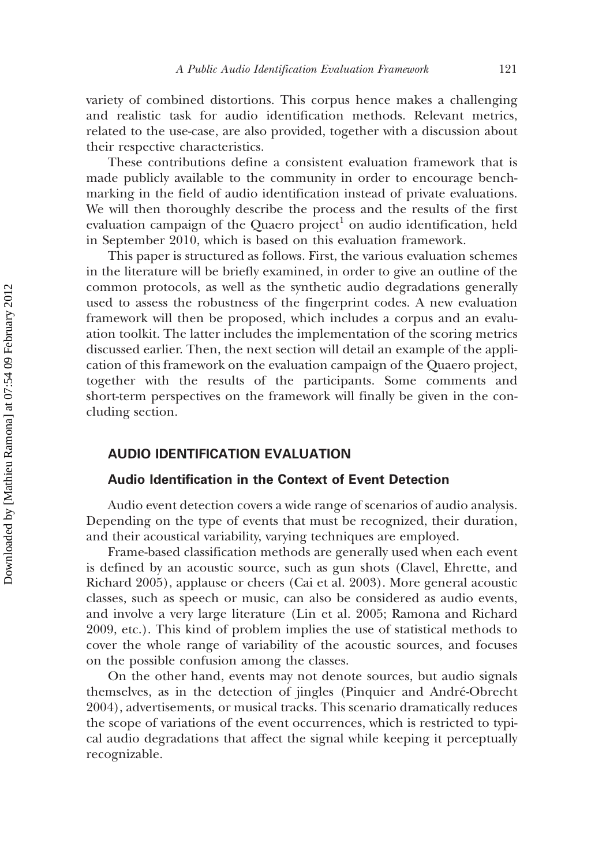variety of combined distortions. This corpus hence makes a challenging and realistic task for audio identification methods. Relevant metrics, related to the use-case, are also provided, together with a discussion about their respective characteristics.

These contributions define a consistent evaluation framework that is made publicly available to the community in order to encourage benchmarking in the field of audio identification instead of private evaluations. We will then thoroughly describe the process and the results of the first evaluation campaign of the Quaero project<sup>1</sup> on audio identification, held in September 2010, which is based on this evaluation framework.

This paper is structured as follows. First, the various evaluation schemes in the literature will be briefly examined, in order to give an outline of the common protocols, as well as the synthetic audio degradations generally used to assess the robustness of the fingerprint codes. A new evaluation framework will then be proposed, which includes a corpus and an evaluation toolkit. The latter includes the implementation of the scoring metrics discussed earlier. Then, the next section will detail an example of the application of this framework on the evaluation campaign of the Quaero project, together with the results of the participants. Some comments and short-term perspectives on the framework will finally be given in the concluding section.

## AUDIO IDENTIFICATION EVALUATION

## Audio Identification in the Context of Event Detection

Audio event detection covers a wide range of scenarios of audio analysis. Depending on the type of events that must be recognized, their duration, and their acoustical variability, varying techniques are employed.

Frame-based classification methods are generally used when each event is defined by an acoustic source, such as gun shots (Clavel, Ehrette, and Richard 2005), applause or cheers (Cai et al. 2003). More general acoustic classes, such as speech or music, can also be considered as audio events, and involve a very large literature (Lin et al. 2005; Ramona and Richard 2009, etc.). This kind of problem implies the use of statistical methods to cover the whole range of variability of the acoustic sources, and focuses on the possible confusion among the classes.

On the other hand, events may not denote sources, but audio signals themselves, as in the detection of jingles (Pinquier and Andre´-Obrecht 2004), advertisements, or musical tracks. This scenario dramatically reduces the scope of variations of the event occurrences, which is restricted to typical audio degradations that affect the signal while keeping it perceptually recognizable.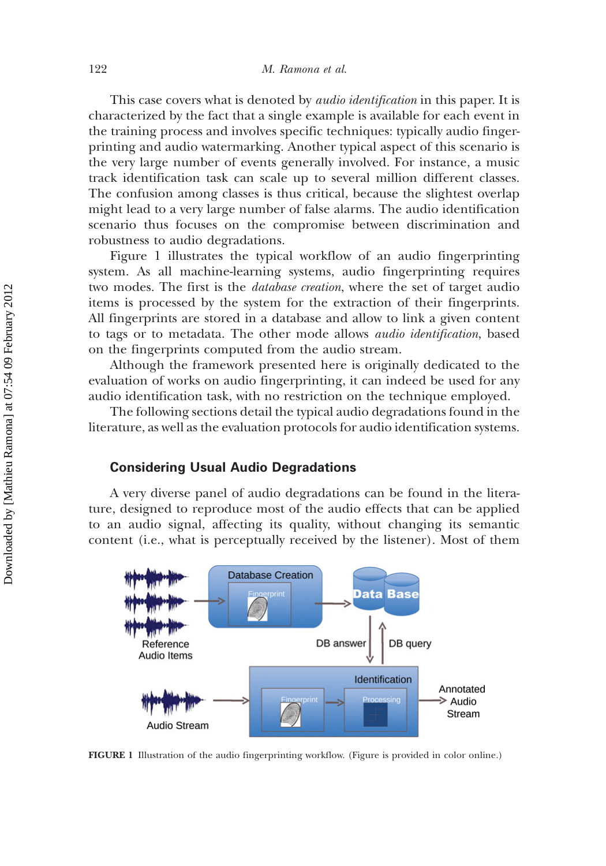This case covers what is denoted by *audio identification* in this paper. It is characterized by the fact that a single example is available for each event in the training process and involves specific techniques: typically audio fingerprinting and audio watermarking. Another typical aspect of this scenario is the very large number of events generally involved. For instance, a music track identification task can scale up to several million different classes. The confusion among classes is thus critical, because the slightest overlap might lead to a very large number of false alarms. The audio identification scenario thus focuses on the compromise between discrimination and robustness to audio degradations.

Figure 1 illustrates the typical workflow of an audio fingerprinting system. As all machine-learning systems, audio fingerprinting requires two modes. The first is the *database creation*, where the set of target audio items is processed by the system for the extraction of their fingerprints. All fingerprints are stored in a database and allow to link a given content to tags or to metadata. The other mode allows audio identification, based on the fingerprints computed from the audio stream.

Although the framework presented here is originally dedicated to the evaluation of works on audio fingerprinting, it can indeed be used for any audio identification task, with no restriction on the technique employed.

The following sections detail the typical audio degradations found in the literature, as well as the evaluation protocols for audio identification systems.

# Considering Usual Audio Degradations

A very diverse panel of audio degradations can be found in the literature, designed to reproduce most of the audio effects that can be applied to an audio signal, affecting its quality, without changing its semantic content (i.e., what is perceptually received by the listener). Most of them



FIGURE 1 Illustration of the audio fingerprinting workflow. (Figure is provided in color online.)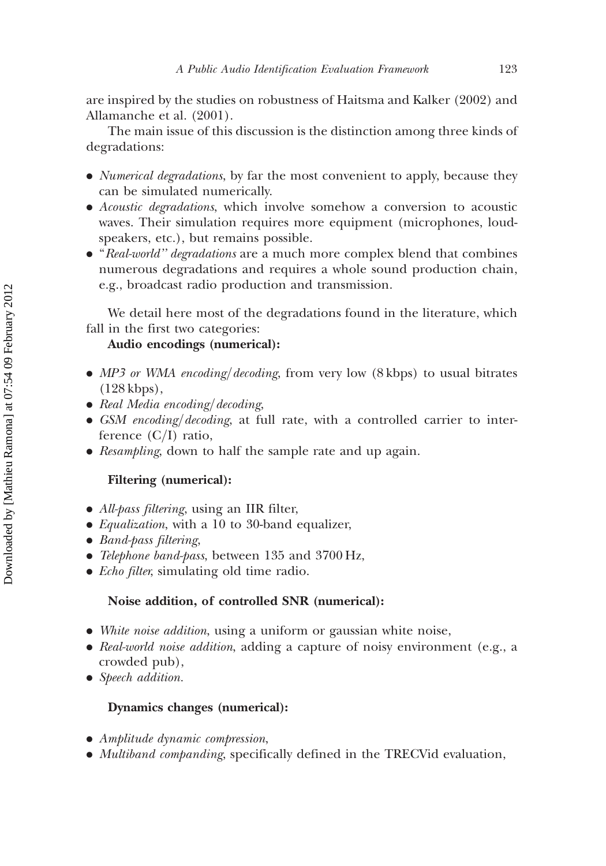are inspired by the studies on robustness of Haitsma and Kalker (2002) and Allamanche et al. (2001).

The main issue of this discussion is the distinction among three kinds of degradations:

- . Numerical degradations, by far the most convenient to apply, because they can be simulated numerically.
- . Acoustic degradations, which involve somehow a conversion to acoustic waves. Their simulation requires more equipment (microphones, loudspeakers, etc.), but remains possible.
- "Real-world" degradations are a much more complex blend that combines numerous degradations and requires a whole sound production chain, e.g., broadcast radio production and transmission.

We detail here most of the degradations found in the literature, which fall in the first two categories:

## Audio encodings (numerical):

- MP3 or WMA encoding/decoding, from very low (8 kbps) to usual bitrates (128 kbps),
- Real Media encoding/decoding,
- GSM encoding/decoding, at full rate, with a controlled carrier to interference  $(C/I)$  ratio,
- *Resampling*, down to half the sample rate and up again.

#### Filtering (numerical):

- All-pass filtering, using an IIR filter,
- . Equalization, with a 10 to 30-band equalizer,
- Band-pass filtering,
- . Telephone band-pass, between 135 and 3700 Hz,
- *Echo filter*, simulating old time radio.

### Noise addition, of controlled SNR (numerical):

- White noise addition, using a uniform or gaussian white noise,
- Real-world noise addition, adding a capture of noisy environment (e.g., a crowded pub),
- Speech addition.

#### Dynamics changes (numerical):

- . Amplitude dynamic compression,
- . Multiband companding, specifically defined in the TRECVid evaluation,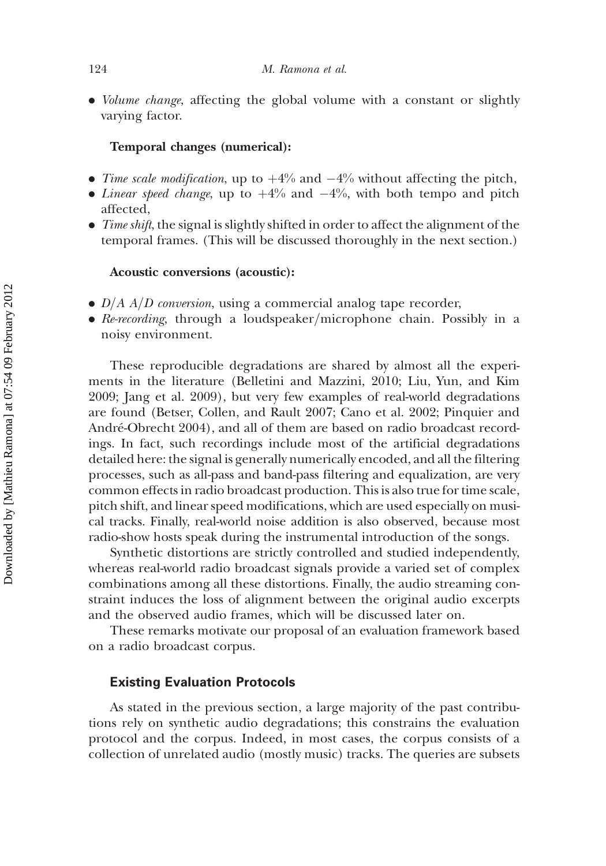• *Volume change*, affecting the global volume with a constant or slightly varying factor.

#### Temporal changes (numerical):

- Time scale modification, up to  $+4\%$  and  $-4\%$  without affecting the pitch,
- Linear speed change, up to  $+4\%$  and  $-4\%$ , with both tempo and pitch affected,
- $\bullet$  Time shift, the signal is slightly shifted in order to affect the alignment of the temporal frames. (This will be discussed thoroughly in the next section.)

### Acoustic conversions (acoustic):

- $\bullet$  D/A A/D conversion, using a commercial analog tape recorder,
- Re-recording, through a loudspeaker/microphone chain. Possibly in a noisy environment.

These reproducible degradations are shared by almost all the experiments in the literature (Belletini and Mazzini, 2010; Liu, Yun, and Kim 2009; Jang et al. 2009), but very few examples of real-world degradations are found (Betser, Collen, and Rault 2007; Cano et al. 2002; Pinquier and André-Obrecht 2004), and all of them are based on radio broadcast recordings. In fact, such recordings include most of the artificial degradations detailed here: the signal is generally numerically encoded, and all the filtering processes, such as all-pass and band-pass filtering and equalization, are very common effects in radio broadcast production. This is also true for time scale, pitch shift, and linear speed modifications, which are used especially on musical tracks. Finally, real-world noise addition is also observed, because most radio-show hosts speak during the instrumental introduction of the songs.

Synthetic distortions are strictly controlled and studied independently, whereas real-world radio broadcast signals provide a varied set of complex combinations among all these distortions. Finally, the audio streaming constraint induces the loss of alignment between the original audio excerpts and the observed audio frames, which will be discussed later on.

These remarks motivate our proposal of an evaluation framework based on a radio broadcast corpus.

#### Existing Evaluation Protocols

As stated in the previous section, a large majority of the past contributions rely on synthetic audio degradations; this constrains the evaluation protocol and the corpus. Indeed, in most cases, the corpus consists of a collection of unrelated audio (mostly music) tracks. The queries are subsets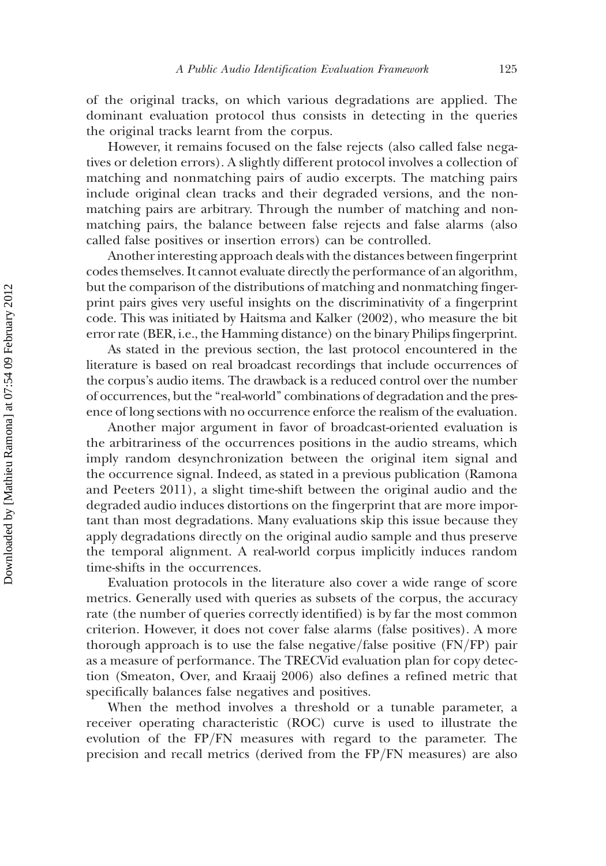of the original tracks, on which various degradations are applied. The dominant evaluation protocol thus consists in detecting in the queries the original tracks learnt from the corpus.

However, it remains focused on the false rejects (also called false negatives or deletion errors). A slightly different protocol involves a collection of matching and nonmatching pairs of audio excerpts. The matching pairs include original clean tracks and their degraded versions, and the nonmatching pairs are arbitrary. Through the number of matching and nonmatching pairs, the balance between false rejects and false alarms (also called false positives or insertion errors) can be controlled.

Another interesting approach deals with the distances between fingerprint codes themselves. It cannot evaluate directly the performance of an algorithm, but the comparison of the distributions of matching and nonmatching fingerprint pairs gives very useful insights on the discriminativity of a fingerprint code. This was initiated by Haitsma and Kalker (2002), who measure the bit error rate (BER, i.e., the Hamming distance) on the binary Philips fingerprint.

As stated in the previous section, the last protocol encountered in the literature is based on real broadcast recordings that include occurrences of the corpus's audio items. The drawback is a reduced control over the number of occurrences, but the ''real-world'' combinations of degradation and the presence of long sections with no occurrence enforce the realism of the evaluation.

Another major argument in favor of broadcast-oriented evaluation is the arbitrariness of the occurrences positions in the audio streams, which imply random desynchronization between the original item signal and the occurrence signal. Indeed, as stated in a previous publication (Ramona and Peeters 2011), a slight time-shift between the original audio and the degraded audio induces distortions on the fingerprint that are more important than most degradations. Many evaluations skip this issue because they apply degradations directly on the original audio sample and thus preserve the temporal alignment. A real-world corpus implicitly induces random time-shifts in the occurrences.

Evaluation protocols in the literature also cover a wide range of score metrics. Generally used with queries as subsets of the corpus, the accuracy rate (the number of queries correctly identified) is by far the most common criterion. However, it does not cover false alarms (false positives). A more thorough approach is to use the false negative/false positive  $(FN/FP)$  pair as a measure of performance. The TRECVid evaluation plan for copy detection (Smeaton, Over, and Kraaij 2006) also defines a refined metric that specifically balances false negatives and positives.

When the method involves a threshold or a tunable parameter, a receiver operating characteristic (ROC) curve is used to illustrate the evolution of the  $FP/FN$  measures with regard to the parameter. The precision and recall metrics (derived from the  $FP/FN$  measures) are also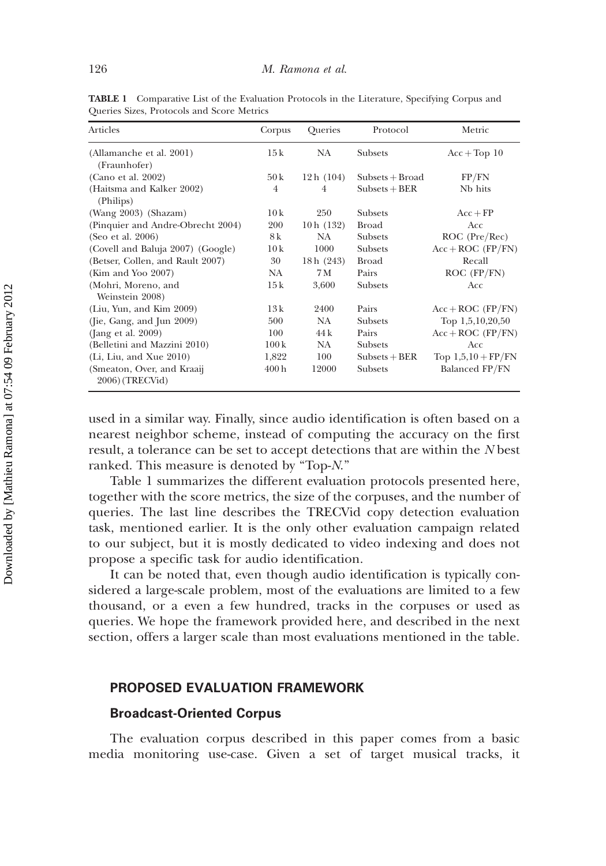| Articles                                      | Corpus | Queries   | Protocol          | Metric               |  |
|-----------------------------------------------|--------|-----------|-------------------|----------------------|--|
| (Allamanche et al. 2001)<br>(Fraunhofer)      | 15k    | <b>NA</b> | Subsets           | $Acc + Top 10$       |  |
| (Cano et al. $2002$ )                         | 50k    | 12h(104)  | $Subsets + Broad$ | FP/FN                |  |
| (Haitsma and Kalker 2002)<br>(Philips)        | 4      | 4         | $Subsets + BER$   | Nb hits              |  |
| $(Wang 2003)$ (Shazam)                        | 10k    | 250       | Subsets           | $Acc + FP$           |  |
| (Pinquier and Andre-Obrecht 2004)             | 200    | 10h(132)  | <b>Broad</b>      | Acc                  |  |
| (Seo et al. 2006)                             | 8 k    | <b>NA</b> | Subsets           | $ROC$ (Pre/Rec)      |  |
| (Covell and Baluja 2007) (Google)             | 10k    | 1000      | Subsets           | $Acc + ROC (FP/FN)$  |  |
| (Betser, Collen, and Rault 2007)              | 30     | 18h(243)  | <b>Broad</b>      | Recall               |  |
| (Kim and Yoo 2007)                            | NA     | 7 M       | Pairs             | $ROC$ (FP/FN)        |  |
| (Mohri, Moreno, and<br>Weinstein 2008)        | 15k    | 3,600     | Subsets           | Acc                  |  |
| (Liu, Yun, and Kim 2009)                      | 13k    | 2400      | Pairs             | $Acc + ROC (FP/FN)$  |  |
| (Jie, Gang, and Jun $2009$ )                  | 500    | <b>NA</b> | Subsets           | Top 1,5,10,20,50     |  |
| (Jang et al. $2009$ )                         | 100    | 44 k      | Pairs             | $Acc + ROC (FP/FN)$  |  |
| (Belletini and Mazzini 2010)                  | 100k   | NA.       | Subsets           | Acc                  |  |
| (Li, Liu, and Xue 2010)                       | 1,822  | 100       | $Subsets + BER$   | Top $1,5,10$ + FP/FN |  |
| (Smeaton, Over, and Kraaij<br>2006) (TRECVid) | 400h   | 12000     | <b>Subsets</b>    | Balanced FP/FN       |  |

TABLE 1 Comparative List of the Evaluation Protocols in the Literature, Specifying Corpus and Queries Sizes, Protocols and Score Metrics

used in a similar way. Finally, since audio identification is often based on a nearest neighbor scheme, instead of computing the accuracy on the first result, a tolerance can be set to accept detections that are within the N best ranked. This measure is denoted by ''Top-N.''

Table 1 summarizes the different evaluation protocols presented here, together with the score metrics, the size of the corpuses, and the number of queries. The last line describes the TRECVid copy detection evaluation task, mentioned earlier. It is the only other evaluation campaign related to our subject, but it is mostly dedicated to video indexing and does not propose a specific task for audio identification.

It can be noted that, even though audio identification is typically considered a large-scale problem, most of the evaluations are limited to a few thousand, or a even a few hundred, tracks in the corpuses or used as queries. We hope the framework provided here, and described in the next section, offers a larger scale than most evaluations mentioned in the table.

# PROPOSED EVALUATION FRAMEWORK

#### Broadcast-Oriented Corpus

The evaluation corpus described in this paper comes from a basic media monitoring use-case. Given a set of target musical tracks, it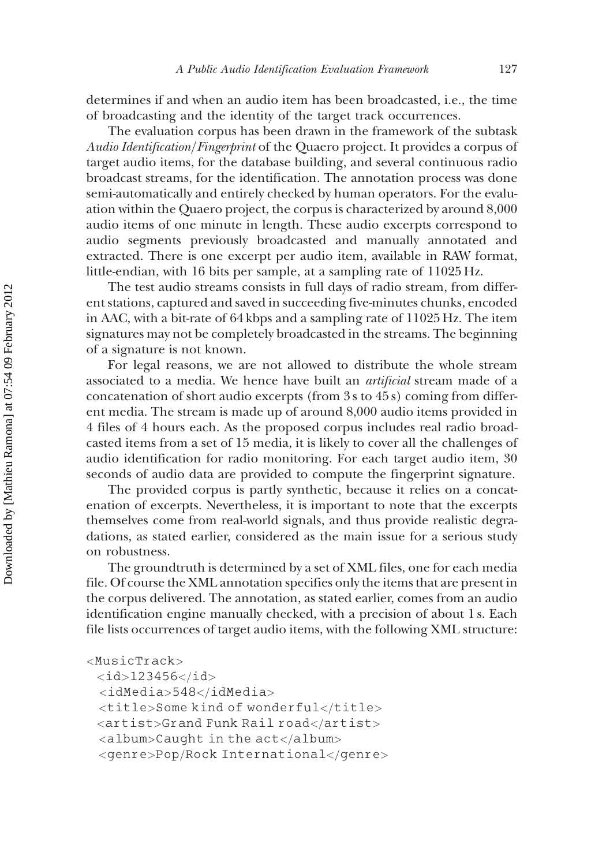determines if and when an audio item has been broadcasted, i.e., the time of broadcasting and the identity of the target track occurrences.

The evaluation corpus has been drawn in the framework of the subtask Audio Identification/Fingerprint of the Quaero project. It provides a corpus of target audio items, for the database building, and several continuous radio broadcast streams, for the identification. The annotation process was done semi-automatically and entirely checked by human operators. For the evaluation within the Quaero project, the corpus is characterized by around 8,000 audio items of one minute in length. These audio excerpts correspond to audio segments previously broadcasted and manually annotated and extracted. There is one excerpt per audio item, available in RAW format, little-endian, with 16 bits per sample, at a sampling rate of 11025 Hz.

The test audio streams consists in full days of radio stream, from different stations, captured and saved in succeeding five-minutes chunks, encoded in AAC, with a bit-rate of 64 kbps and a sampling rate of 11025 Hz. The item signatures may not be completely broadcasted in the streams. The beginning of a signature is not known.

For legal reasons, we are not allowed to distribute the whole stream associated to a media. We hence have built an artificial stream made of a concatenation of short audio excerpts (from 3 s to 45 s) coming from different media. The stream is made up of around 8,000 audio items provided in 4 files of 4 hours each. As the proposed corpus includes real radio broadcasted items from a set of 15 media, it is likely to cover all the challenges of audio identification for radio monitoring. For each target audio item, 30 seconds of audio data are provided to compute the fingerprint signature.

The provided corpus is partly synthetic, because it relies on a concatenation of excerpts. Nevertheless, it is important to note that the excerpts themselves come from real-world signals, and thus provide realistic degradations, as stated earlier, considered as the main issue for a serious study on robustness.

The groundtruth is determined by a set of XML files, one for each media file. Of course the XML annotation specifies only the items that are present in the corpus delivered. The annotation, as stated earlier, comes from an audio identification engine manually checked, with a precision of about 1 s. Each file lists occurrences of target audio items, with the following XML structure:

```
<MusicTrack>
```

```
<id>123456</id>
```
 $\langle$ idMedia>548 $\langle$ idMedia>

 $<$ title>Some kind of wonderful</title>

<artist>Grand Funk Rail road</artist>

 $\langle$ album>Caught in the act $\langle$ album>

 $<$ genre $>$ Pop/Rock International $<$ /genre $>$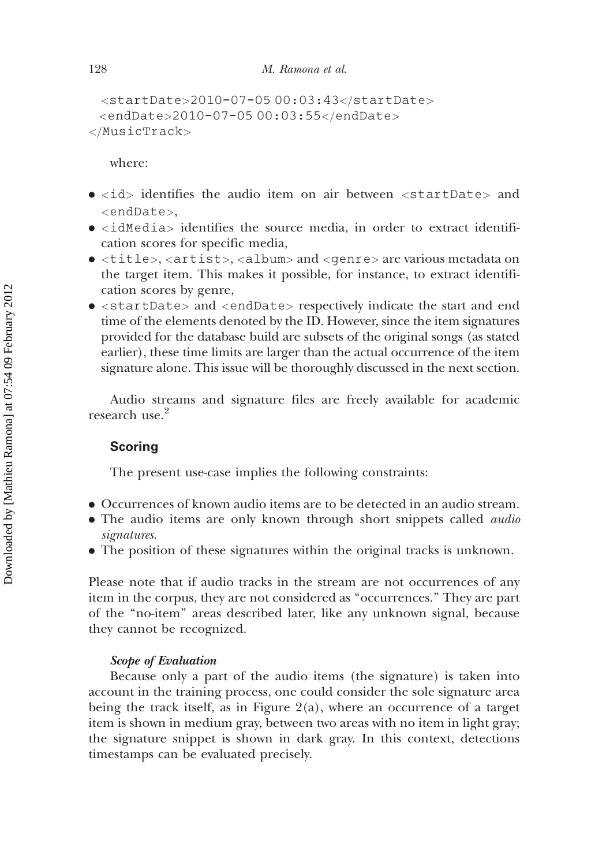```
<startDate>2010-07-05 00:03:43</startDate>
 <endDate>2010-07-05 00:03:55</endDate>
</MusicTrack>
```
where:

- $\bullet$  <id> identifies the audio item on air between <startDate> and <endDate>,
- $\bullet$   $\lt$  id Media  $\gt$  identifies the source media, in order to extract identification scores for specific media,
- . <title>, <artist>, <album> and <genre> are various metadata on the target item. This makes it possible, for instance, to extract identification scores by genre,
- . <startDate> and <endDate> respectively indicate the start and end time of the elements denoted by the ID. However, since the item signatures provided for the database build are subsets of the original songs (as stated earlier), these time limits are larger than the actual occurrence of the item signature alone. This issue will be thoroughly discussed in the next section.

Audio streams and signature files are freely available for academic research use.<sup>2</sup>

# Scoring

The present use-case implies the following constraints:

- . Occurrences of known audio items are to be detected in an audio stream.
- The audio items are only known through short snippets called *audio* signatures.
- . The position of these signatures within the original tracks is unknown.

Please note that if audio tracks in the stream are not occurrences of any item in the corpus, they are not considered as ''occurrences.'' They are part of the ''no-item'' areas described later, like any unknown signal, because they cannot be recognized.

## Scope of Evaluation

Because only a part of the audio items (the signature) is taken into account in the training process, one could consider the sole signature area being the track itself, as in Figure  $2(a)$ , where an occurrence of a target item is shown in medium gray, between two areas with no item in light gray; the signature snippet is shown in dark gray. In this context, detections timestamps can be evaluated precisely.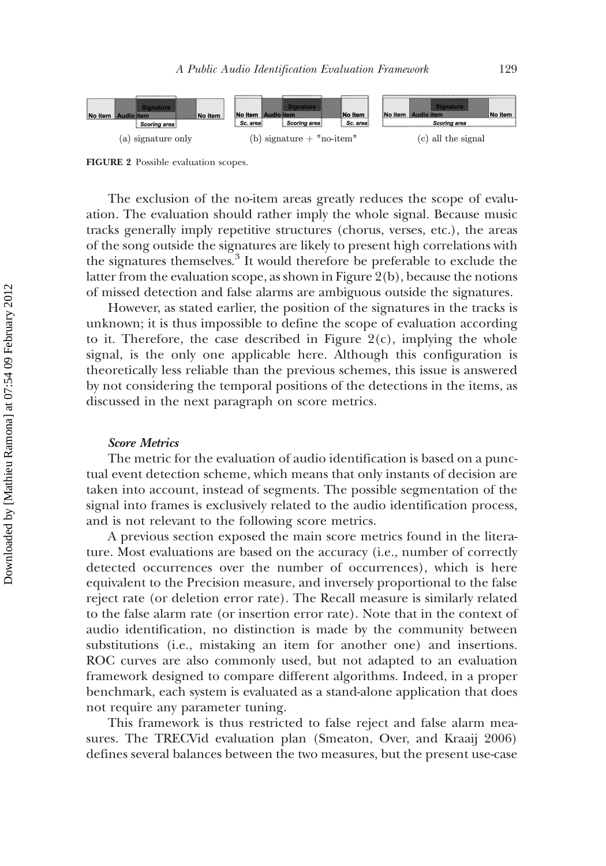

FIGURE 2 Possible evaluation scopes.

The exclusion of the no-item areas greatly reduces the scope of evaluation. The evaluation should rather imply the whole signal. Because music tracks generally imply repetitive structures (chorus, verses, etc.), the areas of the song outside the signatures are likely to present high correlations with the signatures themselves.<sup>3</sup> It would therefore be preferable to exclude the latter from the evaluation scope, as shown in Figure 2(b), because the notions of missed detection and false alarms are ambiguous outside the signatures.

However, as stated earlier, the position of the signatures in the tracks is unknown; it is thus impossible to define the scope of evaluation according to it. Therefore, the case described in Figure  $2(c)$ , implying the whole signal, is the only one applicable here. Although this configuration is theoretically less reliable than the previous schemes, this issue is answered by not considering the temporal positions of the detections in the items, as discussed in the next paragraph on score metrics.

#### Score Metrics

The metric for the evaluation of audio identification is based on a punctual event detection scheme, which means that only instants of decision are taken into account, instead of segments. The possible segmentation of the signal into frames is exclusively related to the audio identification process, and is not relevant to the following score metrics.

A previous section exposed the main score metrics found in the literature. Most evaluations are based on the accuracy (i.e., number of correctly detected occurrences over the number of occurrences), which is here equivalent to the Precision measure, and inversely proportional to the false reject rate (or deletion error rate). The Recall measure is similarly related to the false alarm rate (or insertion error rate). Note that in the context of audio identification, no distinction is made by the community between substitutions (i.e., mistaking an item for another one) and insertions. ROC curves are also commonly used, but not adapted to an evaluation framework designed to compare different algorithms. Indeed, in a proper benchmark, each system is evaluated as a stand-alone application that does not require any parameter tuning.

This framework is thus restricted to false reject and false alarm measures. The TRECVid evaluation plan (Smeaton, Over, and Kraaij 2006) defines several balances between the two measures, but the present use-case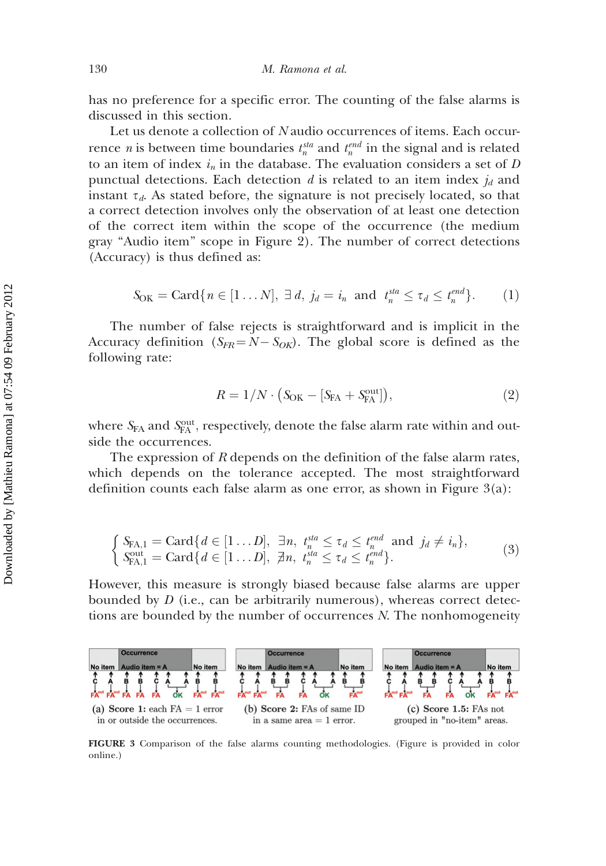has no preference for a specific error. The counting of the false alarms is discussed in this section.

Let us denote a collection of N audio occurrences of items. Each occurrence *n* is between time boundaries  $t_n^{sta}$  and  $t_n^{end}$  in the signal and is related to an item of index  $i_n$  in the database. The evaluation considers a set of  $D$ punctual detections. Each detection  $d$  is related to an item index  $j_d$  and instant  $\tau_d$ . As stated before, the signature is not precisely located, so that a correct detection involves only the observation of at least one detection of the correct item within the scope of the occurrence (the medium gray ''Audio item'' scope in Figure 2). The number of correct detections (Accuracy) is thus defined as:

$$
S_{\text{OK}} = \text{Card}\{n \in [1 \dots N], \exists d, j_d = i_n \text{ and } t_n^{sta} \le \tau_d \le t_n^{end}\}. \tag{1}
$$

The number of false rejects is straightforward and is implicit in the Accuracy definition ( $S_{FR} = N - S_{OK}$ ). The global score is defined as the following rate:

$$
R = 1/N \cdot (S_{\text{OK}} - [S_{\text{FA}} + S_{\text{FA}}^{\text{out}}]), \tag{2}
$$

where  $S_{\text{FA}}$  and  $S_{\text{FA}}^{\text{out}}$ , respectively, denote the false alarm rate within and outside the occurrences.

The expression of R depends on the definition of the false alarm rates, which depends on the tolerance accepted. The most straightforward definition counts each false alarm as one error, as shown in Figure 3(a):

$$
\begin{cases}\nS_{FA,1} = \text{Card}\{d \in [1 \dots D], \exists n, t_n^{sta} \le \tau_d \le t_n^{end} \text{ and } j_d \ne i_n\}, \\
S_{FA,1}^{out} = \text{Card}\{d \in [1 \dots D], \not\exists n, t_n^{sta} \le \tau_d \le t_n^{end}\}.\n\end{cases} (3)
$$

However, this measure is strongly biased because false alarms are upper bounded by  $D$  (i.e., can be arbitrarily numerous), whereas correct detections are bounded by the number of occurrences N. The nonhomogeneity



FIGURE 3 Comparison of the false alarms counting methodologies. (Figure is provided in color online.)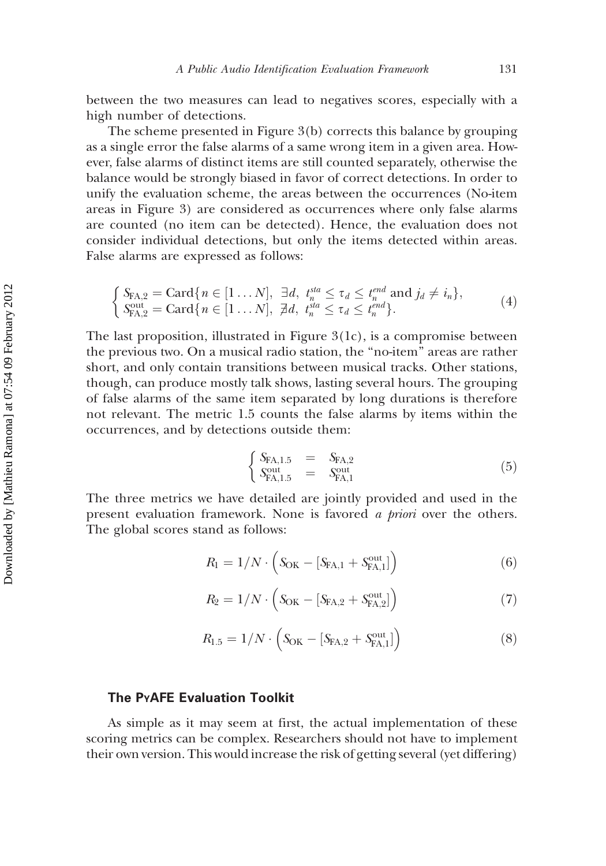between the two measures can lead to negatives scores, especially with a high number of detections.

The scheme presented in Figure 3(b) corrects this balance by grouping as a single error the false alarms of a same wrong item in a given area. However, false alarms of distinct items are still counted separately, otherwise the balance would be strongly biased in favor of correct detections. In order to unify the evaluation scheme, the areas between the occurrences (No-item areas in Figure 3) are considered as occurrences where only false alarms are counted (no item can be detected). Hence, the evaluation does not consider individual detections, but only the items detected within areas. False alarms are expressed as follows:

$$
\begin{cases}\nS_{\text{FA},2} = \text{Card}\{n \in [1 \dots N], \exists d, t_n^{sta} \le \tau_d \le t_n^{end} \text{ and } j_d \ne i_n\}, \\
S_{\text{FA},2}^{out} = \text{Card}\{n \in [1 \dots N], \exists d, t_n^{sta} \le \tau_d \le t_n^{end}\}.\n\tag{4}
$$

The last proposition, illustrated in Figure  $3(1c)$ , is a compromise between the previous two. On a musical radio station, the ''no-item'' areas are rather short, and only contain transitions between musical tracks. Other stations, though, can produce mostly talk shows, lasting several hours. The grouping of false alarms of the same item separated by long durations is therefore not relevant. The metric 1.5 counts the false alarms by items within the occurrences, and by detections outside them:

$$
\begin{cases}\nS_{FA,1.5} = S_{FA,2} \\
S_{FA,1.5}^{\text{out}} = S_{FA,1}^{\text{out}}\n\end{cases} (5)
$$

The three metrics we have detailed are jointly provided and used in the present evaluation framework. None is favored a priori over the others. The global scores stand as follows:

$$
R_1 = 1/N \cdot \left( S_{\text{OK}} - [S_{\text{FA},1} + S_{\text{FA},1}^{\text{out}}] \right)
$$
 (6)

$$
R_2 = 1/N \cdot \left( S_{\text{OK}} - [S_{\text{FA},2} + S_{\text{FA},2}^{\text{out}}] \right)
$$
 (7)

$$
R_{1.5} = 1/N \cdot \left( S_{\text{OK}} - [S_{\text{FA},2} + S_{\text{FA},1}^{\text{out}}] \right)
$$
 (8)

### The PYAFE Evaluation Toolkit

As simple as it may seem at first, the actual implementation of these scoring metrics can be complex. Researchers should not have to implement their own version. This would increase the risk of getting several (yet differing)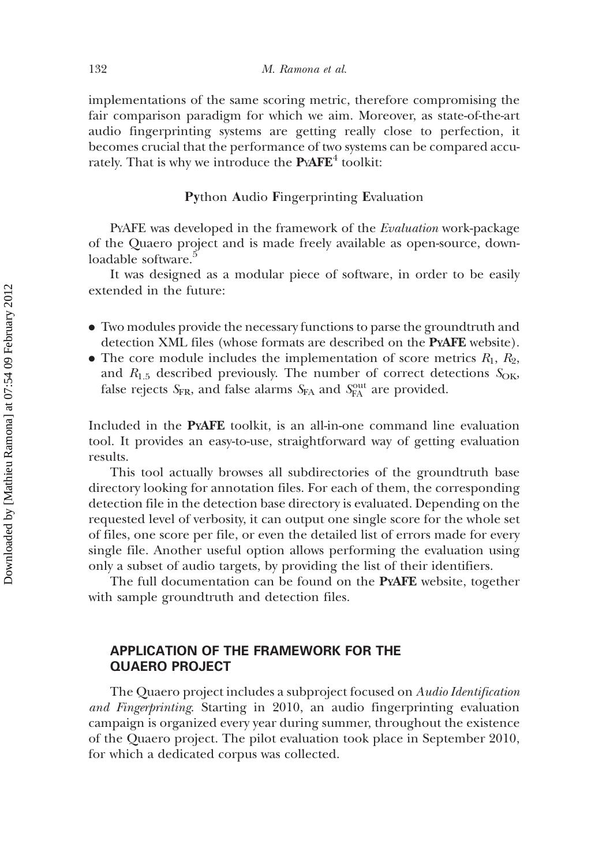implementations of the same scoring metric, therefore compromising the fair comparison paradigm for which we aim. Moreover, as state-of-the-art audio fingerprinting systems are getting really close to perfection, it becomes crucial that the performance of two systems can be compared accurately. That is why we introduce the  $PvAFE<sup>4</sup>$  toolkit:

#### Python Audio Fingerprinting Evaluation

PYAFE was developed in the framework of the *Evaluation* work-package of the Quaero project and is made freely available as open-source, downloadable software.<sup>5</sup>

It was designed as a modular piece of software, in order to be easily extended in the future:

- . Two modules provide the necessary functions to parse the groundtruth and detection XML files (whose formats are described on the PYAFE website).
- The core module includes the implementation of score metrics  $R_1$ ,  $R_2$ , and  $R_{1.5}$  described previously. The number of correct detections  $S_{\text{OK}}$ , false rejects  $S_{FR}$ , and false alarms  $S_{FA}$  and  $S_{FA}^{\text{out}}$  are provided.

Included in the PYAFE toolkit, is an all-in-one command line evaluation tool. It provides an easy-to-use, straightforward way of getting evaluation results.

This tool actually browses all subdirectories of the groundtruth base directory looking for annotation files. For each of them, the corresponding detection file in the detection base directory is evaluated. Depending on the requested level of verbosity, it can output one single score for the whole set of files, one score per file, or even the detailed list of errors made for every single file. Another useful option allows performing the evaluation using only a subset of audio targets, by providing the list of their identifiers.

The full documentation can be found on the **PYAFE** website, together with sample groundtruth and detection files.

# APPLICATION OF THE FRAMEWORK FOR THE QUAERO PROJECT

The Quaero project includes a subproject focused on Audio Identification and Fingerprinting. Starting in 2010, an audio fingerprinting evaluation campaign is organized every year during summer, throughout the existence of the Quaero project. The pilot evaluation took place in September 2010, for which a dedicated corpus was collected.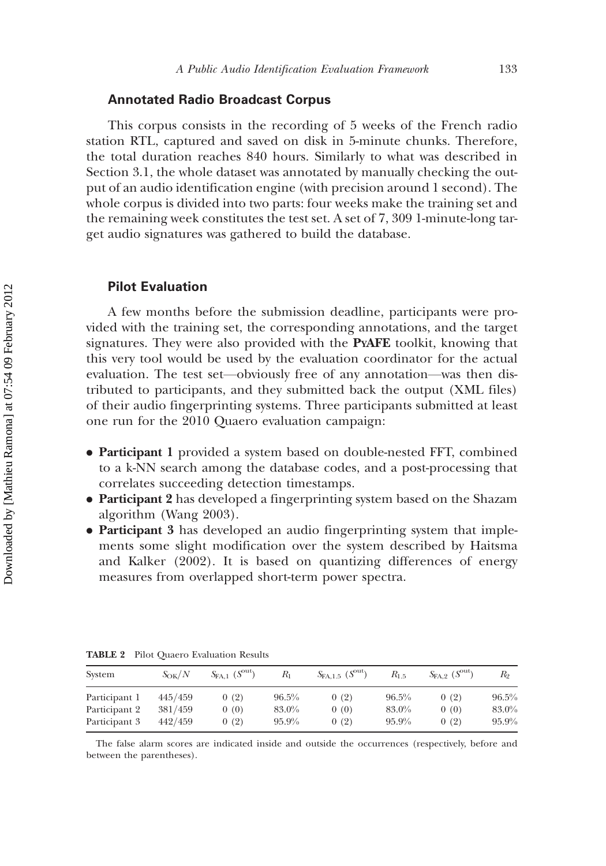#### Annotated Radio Broadcast Corpus

This corpus consists in the recording of 5 weeks of the French radio station RTL, captured and saved on disk in 5-minute chunks. Therefore, the total duration reaches 840 hours. Similarly to what was described in Section 3.1, the whole dataset was annotated by manually checking the output of an audio identification engine (with precision around 1 second). The whole corpus is divided into two parts: four weeks make the training set and the remaining week constitutes the test set. A set of 7, 309 1-minute-long target audio signatures was gathered to build the database.

#### Pilot Evaluation

A few months before the submission deadline, participants were provided with the training set, the corresponding annotations, and the target signatures. They were also provided with the PYAFE toolkit, knowing that this very tool would be used by the evaluation coordinator for the actual evaluation. The test set—obviously free of any annotation—was then distributed to participants, and they submitted back the output (XML files) of their audio fingerprinting systems. Three participants submitted at least one run for the 2010 Quaero evaluation campaign:

- . Participant 1 provided a system based on double-nested FFT, combined to a k-NN search among the database codes, and a post-processing that correlates succeeding detection timestamps.
- . Participant 2 has developed a fingerprinting system based on the Shazam algorithm (Wang 2003).
- . Participant 3 has developed an audio fingerprinting system that implements some slight modification over the system described by Haitsma and Kalker (2002). It is based on quantizing differences of energy measures from overlapped short-term power spectra.

| System        | $S_{\rm OK}/N$ | $S_{FA,1}$ $(S^{\text{out}})$ | Rı    | $S_{\text{FA},1.5}$ $(S^{\text{out}})$ | $R_{1.5}$ | $S_{FA,2}$ $(S^{\text{out}})$ | R9    |
|---------------|----------------|-------------------------------|-------|----------------------------------------|-----------|-------------------------------|-------|
| Participant 1 | 445/459        | 0(2)                          | 96.5% | 0(2)                                   | $96.5\%$  | 0(2)                          | 96.5% |
| Participant 2 | 381/459        | 0(0)                          | 83.0% | 0(0)                                   | 83.0%     | 0(0)                          | 83.0% |
| Participant 3 | 442/459        | 0(2)                          | 95.9% | 0(2)                                   | $95.9\%$  | 0(2)                          | 95.9% |

TABLE 2 Pilot Quaero Evaluation Results

The false alarm scores are indicated inside and outside the occurrences (respectively, before and between the parentheses).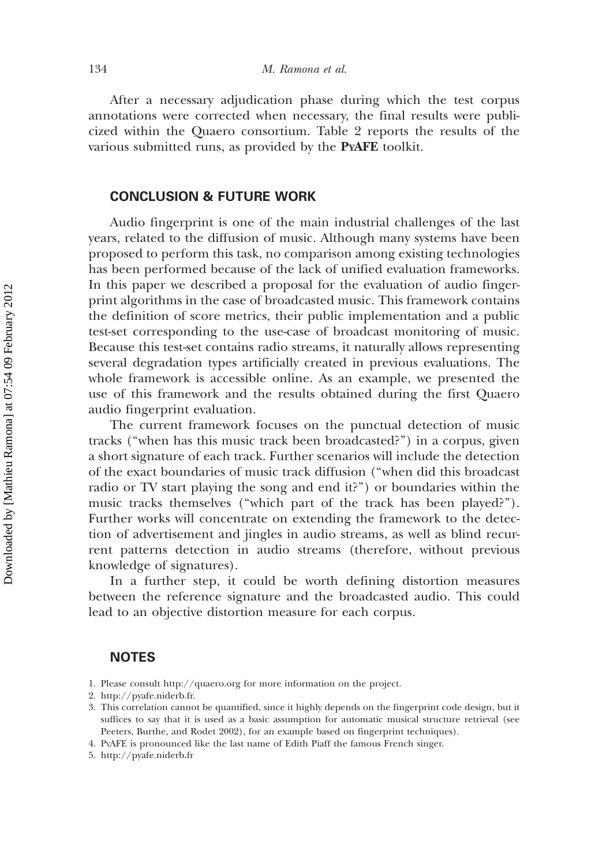After a necessary adjudication phase during which the test corpus annotations were corrected when necessary, the final results were publicized within the Quaero consortium. Table 2 reports the results of the various submitted runs, as provided by the **PYAFE** toolkit.

### CONCLUSION & FUTURE WORK

Audio fingerprint is one of the main industrial challenges of the last years, related to the diffusion of music. Although many systems have been proposed to perform this task, no comparison among existing technologies has been performed because of the lack of unified evaluation frameworks. In this paper we described a proposal for the evaluation of audio fingerprint algorithms in the case of broadcasted music. This framework contains the definition of score metrics, their public implementation and a public test-set corresponding to the use-case of broadcast monitoring of music. Because this test-set contains radio streams, it naturally allows representing several degradation types artificially created in previous evaluations. The whole framework is accessible online. As an example, we presented the use of this framework and the results obtained during the first Quaero audio fingerprint evaluation.

The current framework focuses on the punctual detection of music tracks (''when has this music track been broadcasted?'') in a corpus, given a short signature of each track. Further scenarios will include the detection of the exact boundaries of music track diffusion (''when did this broadcast radio or TV start playing the song and end it?'') or boundaries within the music tracks themselves (''which part of the track has been played?''). Further works will concentrate on extending the framework to the detection of advertisement and jingles in audio streams, as well as blind recurrent patterns detection in audio streams (therefore, without previous knowledge of signatures).

In a further step, it could be worth defining distortion measures between the reference signature and the broadcasted audio. This could lead to an objective distortion measure for each corpus.

#### NOTES

- 1. Please consult http://quaero.org for more information on the project.
- 2. http://pyafe.niderb.fr.
- 3. This correlation cannot be quantified, since it highly depends on the fingerprint code design, but it suffices to say that it is used as a basic assumption for automatic musical structure retrieval (see Peeters, Burthe, and Rodet 2002), for an example based on fingerprint techniques).
- 4. PYAFE is pronounced like the last name of Edith Piaff the famous French singer.
- 5. http://pyafe.niderb.fr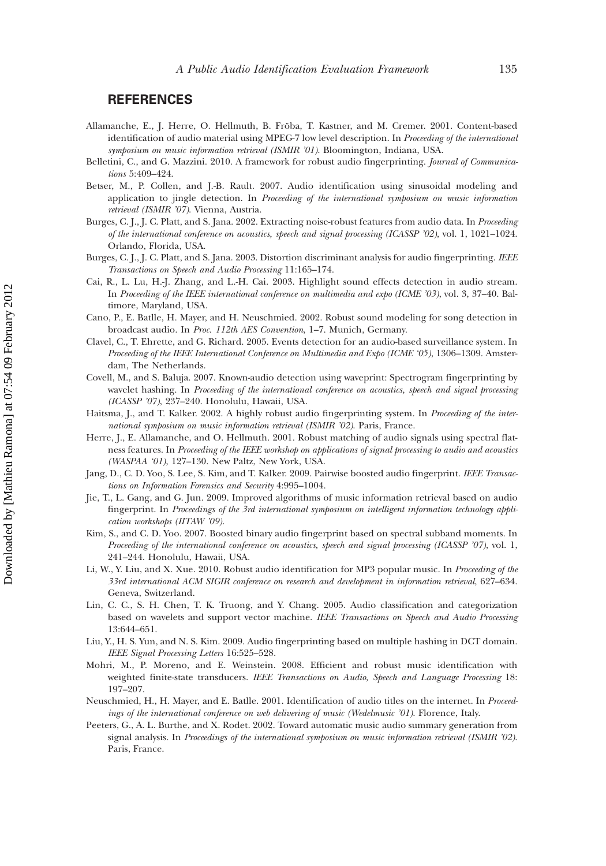# **REFERENCES**

- Allamanche, E., J. Herre, O. Hellmuth, B. Fröba, T. Kastner, and M. Cremer. 2001. Content-based identification of audio material using MPEG-7 low level description. In Proceeding of the international symposium on music information retrieval (ISMIR '01). Bloomington, Indiana, USA.
- Belletini, C., and G. Mazzini. 2010. A framework for robust audio fingerprinting. Journal of Communications 5:409-424.
- Betser, M., P. Collen, and J.-B. Rault. 2007. Audio identification using sinusoidal modeling and application to jingle detection. In Proceeding of the international symposium on music information retrieval (ISMIR '07). Vienna, Austria.
- Burges, C. J., J. C. Platt, and S. Jana. 2002. Extracting noise-robust features from audio data. In Proceeding of the international conference on acoustics, speech and signal processing (ICASSP '02), vol. 1, 1021–1024. Orlando, Florida, USA.
- Burges, C. J., J. C. Platt, and S. Jana. 2003. Distortion discriminant analysis for audio fingerprinting. IEEE Transactions on Speech and Audio Processing 11:165–174.
- Cai, R., L. Lu, H.-J. Zhang, and L.-H. Cai. 2003. Highlight sound effects detection in audio stream. In Proceeding of the IEEE international conference on multimedia and expo (ICME '03), vol. 3, 37–40. Baltimore, Maryland, USA.
- Cano, P., E. Batlle, H. Mayer, and H. Neuschmied. 2002. Robust sound modeling for song detection in broadcast audio. In Proc. 112th AES Convention, 1–7. Munich, Germany.
- Clavel, C., T. Ehrette, and G. Richard. 2005. Events detection for an audio-based surveillance system. In Proceeding of the IEEE International Conference on Multimedia and Expo (ICME '05), 1306–1309. Amsterdam, The Netherlands.
- Covell, M., and S. Baluja. 2007. Known-audio detection using waveprint: Spectrogram fingerprinting by wavelet hashing. In *Proceeding of the international conference on acoustics, speech and signal processing* (ICASSP '07), 237–240. Honolulu, Hawaii, USA.
- Haitsma, J., and T. Kalker. 2002. A highly robust audio fingerprinting system. In Proceeding of the international symposium on music information retrieval (ISMIR '02). Paris, France.
- Herre, J., E. Allamanche, and O. Hellmuth. 2001. Robust matching of audio signals using spectral flatness features. In Proceeding of the IEEE workshop on applications of signal processing to audio and acoustics (WASPAA '01), 127–130. New Paltz, New York, USA.
- Jang, D., C. D. Yoo, S. Lee, S. Kim, and T. Kalker. 2009. Pairwise boosted audio fingerprint. IEEE Transactions on Information Forensics and Security 4:995–1004.
- Jie, T., L. Gang, and G. Jun. 2009. Improved algorithms of music information retrieval based on audio fingerprint. In Proceedings of the 3rd international symposium on intelligent information technology application workshops (IITAW '09).
- Kim, S., and C. D. Yoo. 2007. Boosted binary audio fingerprint based on spectral subband moments. In Proceeding of the international conference on acoustics, speech and signal processing (ICASSP '07), vol. 1, 241–244. Honolulu, Hawaii, USA.
- Li, W., Y. Liu, and X. Xue. 2010. Robust audio identification for MP3 popular music. In Proceeding of the 33rd international ACM SIGIR conference on research and development in information retrieval, 627–634. Geneva, Switzerland.
- Lin, C. C., S. H. Chen, T. K. Truong, and Y. Chang. 2005. Audio classification and categorization based on wavelets and support vector machine. IEEE Transactions on Speech and Audio Processing 13:644–651.
- Liu, Y., H. S. Yun, and N. S. Kim. 2009. Audio fingerprinting based on multiple hashing in DCT domain. IEEE Signal Processing Letters 16:525–528.
- Mohri, M., P. Moreno, and E. Weinstein. 2008. Efficient and robust music identification with weighted finite-state transducers. IEEE Transactions on Audio, Speech and Language Processing 18: 197–207.
- Neuschmied, H., H. Mayer, and E. Batlle. 2001. Identification of audio titles on the internet. In Proceedings of the international conference on web delivering of music (Wedelmusic '01). Florence, Italy.
- Peeters, G., A. L. Burthe, and X. Rodet. 2002. Toward automatic music audio summary generation from signal analysis. In Proceedings of the international symposium on music information retrieval (ISMIR '02). Paris, France.